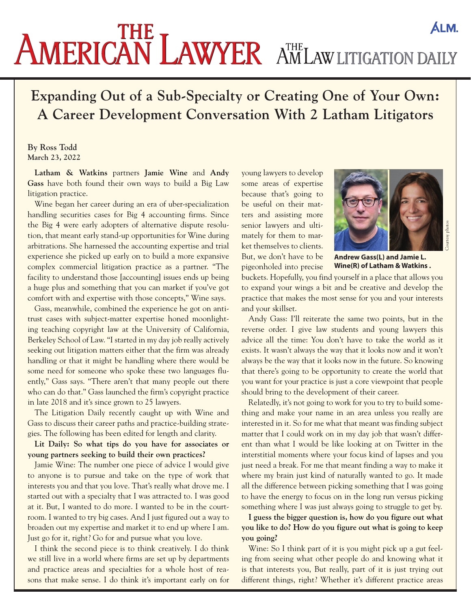## AMERICAN LAWYER AMLAW LITIGATION DAILY **ALM.**

## **Expanding Out of a Sub-Specialty or Creating One of Your Own: A Career Development Conversation With 2 Latham Litigators**

## **By Ross Todd March 23, 2022**

**Latham & Watkins** partners **Jamie Wine** and **Andy Gass** have both found their own ways to build a Big Law litigation practice.

Wine began her career during an era of uber-specialization handling securities cases for Big 4 accounting firms. Since the Big 4 were early adopters of alternative dispute resolution, that meant early stand-up opportunities for Wine during arbitrations. She harnessed the accounting expertise and trial experience she picked up early on to build a more expansive complex commercial litigation practice as a partner. "The facility to understand those [accounting] issues ends up being a huge plus and something that you can market if you've got comfort with and expertise with those concepts," Wine says.

Gass, meanwhile, combined the experience he got on antitrust cases with subject-matter expertise honed moonlighting teaching copyright law at the University of California, Berkeley School of Law. "I started in my day job really actively seeking out litigation matters either that the firm was already handling or that it might be handling where there would be some need for someone who spoke these two languages fluently," Gass says. "There aren't that many people out there who can do that." Gass launched the firm's copyright practice in late 2018 and it's since grown to 25 lawyers.

The Litigation Daily recently caught up with Wine and Gass to discuss their career paths and practice-building strategies. The following has been edited for length and clarity.

**Lit Daily: So what tips do you have for associates or young partners seeking to build their own practices?** 

Jamie Wine: The number one piece of advice I would give to anyone is to pursue and take on the type of work that interests you and that you love. That's really what drove me. I started out with a specialty that I was attracted to. I was good at it. But, I wanted to do more. I wanted to be in the courtroom. I wanted to try big cases. And I just figured out a way to broaden out my expertise and market it to end up where I am. Just go for it, right? Go for and pursue what you love.

I think the second piece is to think creatively. I do think we still live in a world where firms are set up by departments and practice areas and specialties for a whole host of reasons that make sense. I do think it's important early on for

young lawyers to develop some areas of expertise because that's going to be useful on their matters and assisting more senior lawyers and ultimately for them to market themselves to clients. But, we don't have to be pigeonholed into precise



**Andrew Gass(L) and Jamie L. Wine(R) of Latham & Watkins .**

buckets. Hopefully, you find yourself in a place that allows you to expand your wings a bit and be creative and develop the practice that makes the most sense for you and your interests and your skillset.

Andy Gass: I'll reiterate the same two points, but in the reverse order. I give law students and young lawyers this advice all the time: You don't have to take the world as it exists. It wasn't always the way that it looks now and it won't always be the way that it looks now in the future. So knowing that there's going to be opportunity to create the world that you want for your practice is just a core viewpoint that people should bring to the development of their career.

Relatedly, it's not going to work for you to try to build something and make your name in an area unless you really are interested in it. So for me what that meant was finding subject matter that I could work on in my day job that wasn't different than what I would be like looking at on Twitter in the interstitial moments where your focus kind of lapses and you just need a break. For me that meant finding a way to make it where my brain just kind of naturally wanted to go. It made all the difference between picking something that I was going to have the energy to focus on in the long run versus picking something where I was just always going to struggle to get by.

**I guess the bigger question is, how do you figure out what you like to do? How do you figure out what is going to keep you going?**

Wine: So I think part of it is you might pick up a gut feeling from seeing what other people do and knowing what it is that interests you, But really, part of it is just trying out different things, right? Whether it's different practice areas